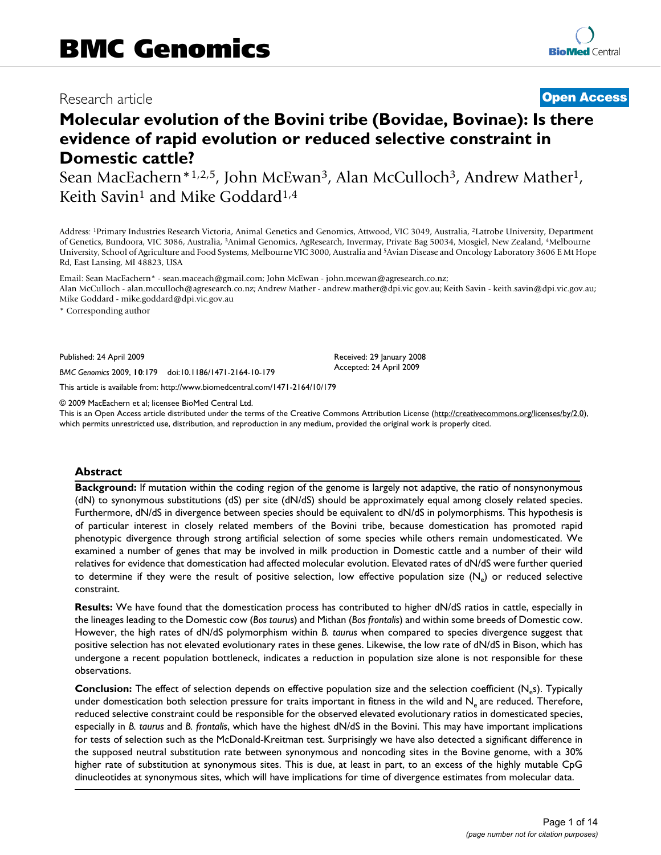## Research article **[Open Access](http://www.biomedcentral.com/info/about/charter/)**

# **Molecular evolution of the Bovini tribe (Bovidae, Bovinae): Is there evidence of rapid evolution or reduced selective constraint in Domestic cattle?**

Sean MacEachern\*1,2,5, John McEwan<sup>3</sup>, Alan McCulloch<sup>3</sup>, Andrew Mather<sup>1</sup>, Keith Savin<sup>1</sup> and Mike Goddard<sup>1,4</sup>

Address: 1Primary Industries Research Victoria, Animal Genetics and Genomics, Attwood, VIC 3049, Australia, 2Latrobe University, Department of Genetics, Bundoora, VIC 3086, Australia, 3Animal Genomics, AgResearch, Invermay, Private Bag 50034, Mosgiel, New Zealand, 4Melbourne University, School of Agriculture and Food Systems, Melbourne VIC 3000, Australia and 5Avian Disease and Oncology Laboratory 3606 E Mt Hope Rd, East Lansing, MI 48823, USA

Email: Sean MacEachern\* - sean.maceach@gmail.com; John McEwan - john.mcewan@agresearch.co.nz; Alan McCulloch - alan.mcculloch@agresearch.co.nz; Andrew Mather - andrew.mather@dpi.vic.gov.au; Keith Savin - keith.savin@dpi.vic.gov.au; Mike Goddard - mike.goddard@dpi.vic.gov.au

> Received: 29 January 2008 Accepted: 24 April 2009

\* Corresponding author

Published: 24 April 2009

*BMC Genomics* 2009, **10**:179 doi:10.1186/1471-2164-10-179

[This article is available from: http://www.biomedcentral.com/1471-2164/10/179](http://www.biomedcentral.com/1471-2164/10/179)

© 2009 MacEachern et al; licensee BioMed Central Ltd.

This is an Open Access article distributed under the terms of the Creative Commons Attribution License [\(http://creativecommons.org/licenses/by/2.0\)](http://creativecommons.org/licenses/by/2.0), which permits unrestricted use, distribution, and reproduction in any medium, provided the original work is properly cited.

#### **Abstract**

**Background:** If mutation within the coding region of the genome is largely not adaptive, the ratio of nonsynonymous (dN) to synonymous substitutions (dS) per site (dN/dS) should be approximately equal among closely related species. Furthermore, dN/dS in divergence between species should be equivalent to dN/dS in polymorphisms. This hypothesis is of particular interest in closely related members of the Bovini tribe, because domestication has promoted rapid phenotypic divergence through strong artificial selection of some species while others remain undomesticated. We examined a number of genes that may be involved in milk production in Domestic cattle and a number of their wild relatives for evidence that domestication had affected molecular evolution. Elevated rates of dN/dS were further queried to determine if they were the result of positive selection, low effective population size  $(N_e)$  or reduced selective constraint.

**Results:** We have found that the domestication process has contributed to higher dN/dS ratios in cattle, especially in the lineages leading to the Domestic cow (*Bos taurus*) and Mithan (*Bos frontalis*) and within some breeds of Domestic cow. However, the high rates of dN/dS polymorphism within *B. taurus* when compared to species divergence suggest that positive selection has not elevated evolutionary rates in these genes. Likewise, the low rate of dN/dS in Bison, which has undergone a recent population bottleneck, indicates a reduction in population size alone is not responsible for these observations.

**Conclusion:** The effect of selection depends on effective population size and the selection coefficient (N<sub>e</sub>s). Typically under domestication both selection pressure for traits important in fitness in the wild and  $N_e$  are reduced. Therefore, reduced selective constraint could be responsible for the observed elevated evolutionary ratios in domesticated species, especially in *B. taurus* and *B. frontalis*, which have the highest dN/dS in the Bovini. This may have important implications for tests of selection such as the McDonald-Kreitman test. Surprisingly we have also detected a significant difference in the supposed neutral substitution rate between synonymous and noncoding sites in the Bovine genome, with a 30% higher rate of substitution at synonymous sites. This is due, at least in part, to an excess of the highly mutable CpG dinucleotides at synonymous sites, which will have implications for time of divergence estimates from molecular data.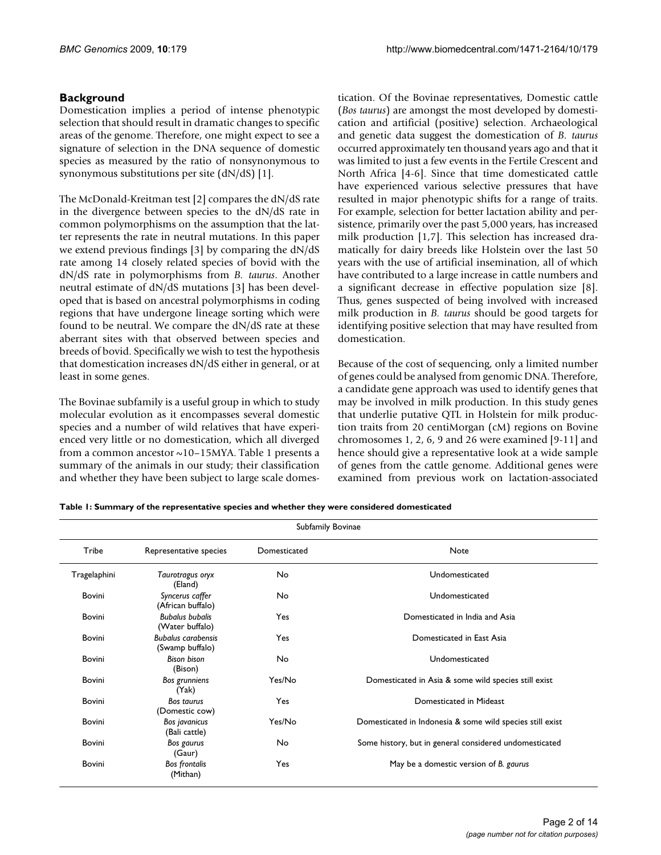### **Background**

Domestication implies a period of intense phenotypic selection that should result in dramatic changes to specific areas of the genome. Therefore, one might expect to see a signature of selection in the DNA sequence of domestic species as measured by the ratio of nonsynonymous to synonymous substitutions per site (dN/dS) [1].

The McDonald-Kreitman test [2] compares the dN/dS rate in the divergence between species to the dN/dS rate in common polymorphisms on the assumption that the latter represents the rate in neutral mutations. In this paper we extend previous findings [3] by comparing the dN/dS rate among 14 closely related species of bovid with the dN/dS rate in polymorphisms from *B. taurus*. Another neutral estimate of dN/dS mutations [3] has been developed that is based on ancestral polymorphisms in coding regions that have undergone lineage sorting which were found to be neutral. We compare the dN/dS rate at these aberrant sites with that observed between species and breeds of bovid. Specifically we wish to test the hypothesis that domestication increases dN/dS either in general, or at least in some genes.

The Bovinae subfamily is a useful group in which to study molecular evolution as it encompasses several domestic species and a number of wild relatives that have experienced very little or no domestication, which all diverged from a common ancestor ~10–15MYA. Table 1 presents a summary of the animals in our study; their classification and whether they have been subject to large scale domestication. Of the Bovinae representatives, Domestic cattle (*Bos taurus*) are amongst the most developed by domestication and artificial (positive) selection. Archaeological and genetic data suggest the domestication of *B. taurus* occurred approximately ten thousand years ago and that it was limited to just a few events in the Fertile Crescent and North Africa [4-6]. Since that time domesticated cattle have experienced various selective pressures that have resulted in major phenotypic shifts for a range of traits. For example, selection for better lactation ability and persistence, primarily over the past 5,000 years, has increased milk production [1,7]. This selection has increased dramatically for dairy breeds like Holstein over the last 50 years with the use of artificial insemination, all of which have contributed to a large increase in cattle numbers and a significant decrease in effective population size [8]. Thus, genes suspected of being involved with increased milk production in *B. taurus* should be good targets for identifying positive selection that may have resulted from domestication.

Because of the cost of sequencing, only a limited number of genes could be analysed from genomic DNA. Therefore, a candidate gene approach was used to identify genes that may be involved in milk production. In this study genes that underlie putative QTL in Holstein for milk production traits from 20 centiMorgan (cM) regions on Bovine chromosomes 1, 2, 6, 9 and 26 were examined [9-11] and hence should give a representative look at a wide sample of genes from the cattle genome. Additional genes were examined from previous work on lactation-associated

**Table 1: Summary of the representative species and whether they were considered domesticated**

|               |                                              | Subfamily Bovinae |                                                           |
|---------------|----------------------------------------------|-------------------|-----------------------------------------------------------|
| Tribe         | Representative species                       | Domesticated      | Note                                                      |
| Tragelaphini  | Taurotragus oryx<br>(Eland)                  | No                | Undomesticated                                            |
| Bovini        | Syncerus caffer<br>(African buffalo)         | No                | Undomesticated                                            |
| Bovini        | <b>Bubalus bubalis</b><br>(Water buffalo)    | Yes               | Domesticated in India and Asia                            |
| Bovini        | <b>Bubalus carabensis</b><br>(Swamp buffalo) | Yes               | Domesticated in East Asia                                 |
| <b>Bovini</b> | <b>Bison bison</b><br>(Bison)                | No                | Undomesticated                                            |
| Bovini        | Bos grunniens<br>(Yak)                       | Yes/No            | Domesticated in Asia & some wild species still exist      |
| Bovini        | Bos taurus<br>(Domestic cow)                 | Yes               | Domesticated in Mideast                                   |
| Bovini        | <b>Bos javanicus</b><br>(Bali cattle)        | Yes/No            | Domesticated in Indonesia & some wild species still exist |
| <b>Bovini</b> | Bos gaurus<br>(Gaur)                         | No                | Some history, but in general considered undomesticated    |
| Bovini        | <b>Bos frontalis</b><br>(Mithan)             | Yes               | May be a domestic version of B. gaurus                    |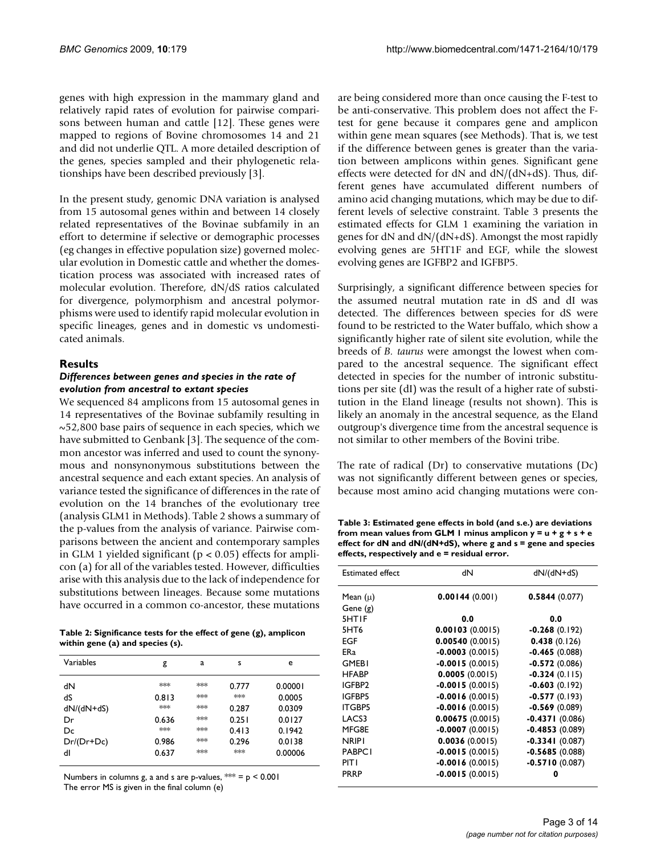genes with high expression in the mammary gland and relatively rapid rates of evolution for pairwise comparisons between human and cattle [12]. These genes were mapped to regions of Bovine chromosomes 14 and 21 and did not underlie QTL. A more detailed description of the genes, species sampled and their phylogenetic relationships have been described previously [3].

In the present study, genomic DNA variation is analysed from 15 autosomal genes within and between 14 closely related representatives of the Bovinae subfamily in an effort to determine if selective or demographic processes (eg changes in effective population size) governed molecular evolution in Domestic cattle and whether the domestication process was associated with increased rates of molecular evolution. Therefore, dN/dS ratios calculated for divergence, polymorphism and ancestral polymorphisms were used to identify rapid molecular evolution in specific lineages, genes and in domestic vs undomesticated animals.

#### **Results**

#### *Differences between genes and species in the rate of evolution from ancestral to extant species*

We sequenced 84 amplicons from 15 autosomal genes in 14 representatives of the Bovinae subfamily resulting in  $\sim$  52,800 base pairs of sequence in each species, which we have submitted to Genbank [3]. The sequence of the common ancestor was inferred and used to count the synonymous and nonsynonymous substitutions between the ancestral sequence and each extant species. An analysis of variance tested the significance of differences in the rate of evolution on the 14 branches of the evolutionary tree (analysis GLM1 in Methods). Table 2 shows a summary of the p-values from the analysis of variance. Pairwise comparisons between the ancient and contemporary samples in GLM 1 yielded significant ( $p < 0.05$ ) effects for amplicon (a) for all of the variables tested. However, difficulties arise with this analysis due to the lack of independence for substitutions between lineages. Because some mutations have occurred in a common co-ancestor, these mutations

**Table 2: Significance tests for the effect of gene (g), amplicon within gene (a) and species (s).** 

| Variables    | g     | a   | s     | e       |
|--------------|-------|-----|-------|---------|
| dN           | $*$   | $*$ | 0.777 | 0.00001 |
| dS           | 0.813 | $*$ | $*$   | 0.0005  |
| $dN/(dN+dS)$ | $*$   | $*$ | 0.287 | 0.0309  |
| Dr           | 0.636 | $*$ | 0.251 | 0.0127  |
| Dc           | $*$   | $*$ | 0.413 | 0.1942  |
| $Dr/(Dr+Dc)$ | 0.986 | $*$ | 0.296 | 0.0138  |
| dl           | 0.637 | $*$ | $*$   | 0.00006 |

Numbers in columns g, a and s are p-values,  $\frac{1}{2}$   $\approx$   $\approx$  0.001 The error MS is given in the final column (e)

are being considered more than once causing the F-test to be anti-conservative. This problem does not affect the Ftest for gene because it compares gene and amplicon within gene mean squares (see Methods). That is, we test if the difference between genes is greater than the variation between amplicons within genes. Significant gene effects were detected for dN and dN/(dN+dS). Thus, different genes have accumulated different numbers of amino acid changing mutations, which may be due to different levels of selective constraint. Table 3 presents the estimated effects for GLM 1 examining the variation in genes for dN and dN/(dN+dS). Amongst the most rapidly evolving genes are 5HT1F and EGF, while the slowest evolving genes are IGFBP2 and IGFBP5.

Surprisingly, a significant difference between species for the assumed neutral mutation rate in dS and dI was detected. The differences between species for dS were found to be restricted to the Water buffalo, which show a significantly higher rate of silent site evolution, while the breeds of *B. taurus* were amongst the lowest when compared to the ancestral sequence. The significant effect detected in species for the number of intronic substitutions per site (dI) was the result of a higher rate of substitution in the Eland lineage (results not shown). This is likely an anomaly in the ancestral sequence, as the Eland outgroup's divergence time from the ancestral sequence is not similar to other members of the Bovini tribe.

The rate of radical (Dr) to conservative mutations (Dc) was not significantly different between genes or species, because most amino acid changing mutations were con-

**Table 3: Estimated gene effects in bold (and s.e.) are deviations from mean values from GLM 1 minus amplicon y = u + g + s + e effect for dN and dN/(dN+dS), where g and s = gene and species effects, respectively and e = residual error.**

| <b>Estimated effect</b> | dN                | $dN/(dN+dS)$     |  |  |  |
|-------------------------|-------------------|------------------|--|--|--|
| Mean $(\mu)$            | 0.00144(0.001)    | 0.5844(0.077)    |  |  |  |
| Gene (g)                |                   |                  |  |  |  |
| <b>SHTIF</b>            | 0.0               | 0.0              |  |  |  |
| 5HT6                    | 0.00103(0.0015)   | $-0.268(0.192)$  |  |  |  |
| EGF                     | 0.00540(0.0015)   | 0.438(0.126)     |  |  |  |
| FRa.                    | $-0.0003(0.0015)$ | $-0.465(0.088)$  |  |  |  |
| <b>GMEBI</b>            | $-0.0015(0.0015)$ | $-0.572(0.086)$  |  |  |  |
| <b>HFABP</b>            | 0.0005(0.0015)    | $-0.324(0.115)$  |  |  |  |
| IGFBP2                  | $-0.0015(0.0015)$ | $-0.603(0.192)$  |  |  |  |
| IGFBP5                  | $-0.0016(0.0015)$ | $-0.577(0.193)$  |  |  |  |
| <b>ITGBP5</b>           | $-0.0016(0.0015)$ | $-0.569(0.089)$  |  |  |  |
| LACS3                   | 0.00675(0.0015)   | $-0.4371(0.086)$ |  |  |  |
| MFG8E                   | $-0.0007(0.0015)$ | $-0.4853(0.089)$ |  |  |  |
| <b>NRIPI</b>            | 0.0036(0.0015)    | $-0.3341(0.087)$ |  |  |  |
| <b>PABPC1</b>           | $-0.0015(0.0015)$ | $-0.5685(0.088)$ |  |  |  |
| PITI                    | $-0.0016(0.0015)$ | $-0.5710(0.087)$ |  |  |  |
| PRRP                    | $-0.0015(0.0015)$ | o                |  |  |  |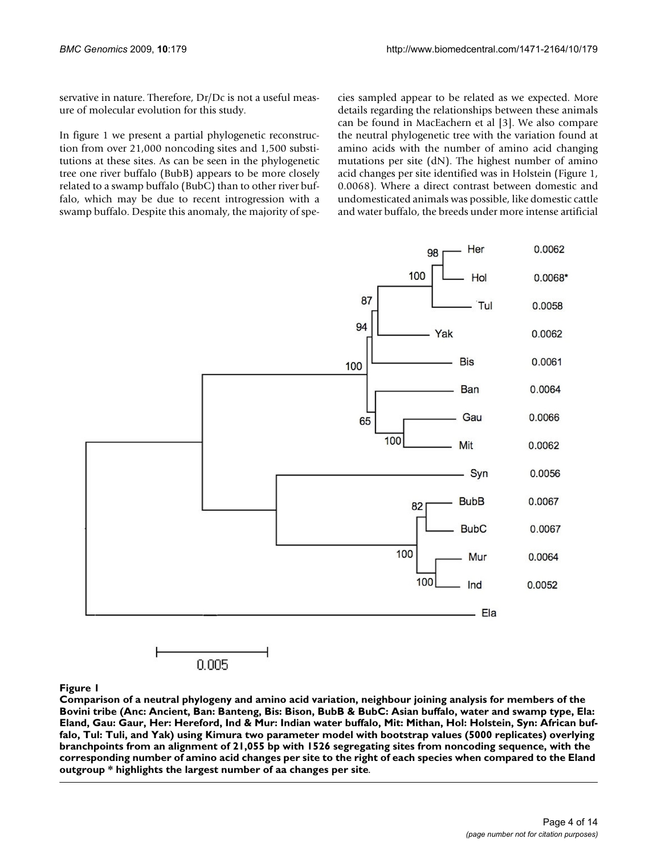servative in nature. Therefore, Dr/Dc is not a useful measure of molecular evolution for this study.

In figure 1 we present a partial phylogenetic reconstruction from over 21,000 noncoding sites and 1,500 substitutions at these sites. As can be seen in the phylogenetic tree one river buffalo (BubB) appears to be more closely related to a swamp buffalo (BubC) than to other river buffalo, which may be due to recent introgression with a swamp buffalo. Despite this anomaly, the majority of species sampled appear to be related as we expected. More details regarding the relationships between these animals can be found in MacEachern et al [3]. We also compare the neutral phylogenetic tree with the variation found at amino acids with the number of amino acid changing mutations per site (dN). The highest number of amino acid changes per site identified was in Holstein (Figure 1, 0.0068). Where a direct contrast between domestic and undomesticated animals was possible, like domestic cattle and water buffalo, the breeds under more intense artificial



#### Ancient, Ban: Banteng, Bis: Bison, BubB Ind & Mur: Indian water buffalo, model with bootstrap values (5000 replicates) overlying branc sites from noncoding sequence, with the corresponding number of when compared to the Eland outgroup \* highligh **Figure 1** Comparison of a neutral phylogeny and amino acid variation, ne Mit: Mithan, Hol: Holstein, Syn: African buffalo, Tul: Tuli, and Yak) using Kimura two paramet & BubC: Asian buffalo, water and swamp type, ts the largest number of aa changes per site hpoints from an alignment of 21,055 bp with 1526 segregating ighbour joining analysis for memb amino acid changes per site to Ela: Eland, Gau: ers of the Bovini tribe (Anc: the right of each species Gaur, Her: Hereford, er

**Comparison of a neutral phylogeny and amino acid variation, neighbour joining analysis for members of the Bovini tribe (Anc: Ancient, Ban: Banteng, Bis: Bison, BubB & BubC: Asian buffalo, water and swamp type, Ela: Eland, Gau: Gaur, Her: Hereford, Ind & Mur: Indian water buffalo, Mit: Mithan, Hol: Holstein, Syn: African buffalo, Tul: Tuli, and Yak) using Kimura two parameter model with bootstrap values (5000 replicates) overlying branchpoints from an alignment of 21,055 bp with 1526 segregating sites from noncoding sequence, with the corresponding number of amino acid changes per site to the right of each species when compared to the Eland outgroup \* highlights the largest number of aa changes per site**.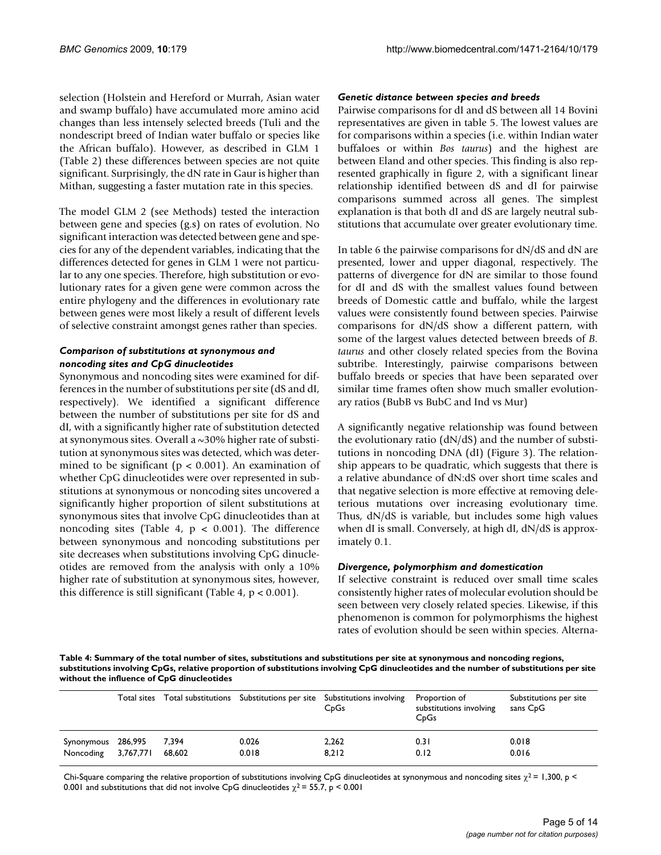selection (Holstein and Hereford or Murrah, Asian water and swamp buffalo) have accumulated more amino acid changes than less intensely selected breeds (Tuli and the nondescript breed of Indian water buffalo or species like the African buffalo). However, as described in GLM 1 (Table 2) these differences between species are not quite significant. Surprisingly, the dN rate in Gaur is higher than Mithan, suggesting a faster mutation rate in this species.

The model GLM 2 (see Methods) tested the interaction between gene and species (g.s) on rates of evolution. No significant interaction was detected between gene and species for any of the dependent variables, indicating that the differences detected for genes in GLM 1 were not particular to any one species. Therefore, high substitution or evolutionary rates for a given gene were common across the entire phylogeny and the differences in evolutionary rate between genes were most likely a result of different levels of selective constraint amongst genes rather than species.

#### *Comparison of substitutions at synonymous and noncoding sites and CpG dinucleotides*

Synonymous and noncoding sites were examined for differences in the number of substitutions per site (dS and dI, respectively). We identified a significant difference between the number of substitutions per site for dS and dI, with a significantly higher rate of substitution detected at synonymous sites. Overall a  $\sim$ 30% higher rate of substitution at synonymous sites was detected, which was determined to be significant ( $p < 0.001$ ). An examination of whether CpG dinucleotides were over represented in substitutions at synonymous or noncoding sites uncovered a significantly higher proportion of silent substitutions at synonymous sites that involve CpG dinucleotides than at noncoding sites (Table 4,  $p < 0.001$ ). The difference between synonymous and noncoding substitutions per site decreases when substitutions involving CpG dinucleotides are removed from the analysis with only a 10% higher rate of substitution at synonymous sites, however, this difference is still significant (Table 4,  $p < 0.001$ ).

#### *Genetic distance between species and breeds*

Pairwise comparisons for dI and dS between all 14 Bovini representatives are given in table 5. The lowest values are for comparisons within a species (i.e. within Indian water buffaloes or within *Bos taurus*) and the highest are between Eland and other species. This finding is also represented graphically in figure 2, with a significant linear relationship identified between dS and dI for pairwise comparisons summed across all genes. The simplest explanation is that both dI and dS are largely neutral substitutions that accumulate over greater evolutionary time.

In table 6 the pairwise comparisons for dN/dS and dN are presented, lower and upper diagonal, respectively. The patterns of divergence for dN are similar to those found for dI and dS with the smallest values found between breeds of Domestic cattle and buffalo, while the largest values were consistently found between species. Pairwise comparisons for dN/dS show a different pattern, with some of the largest values detected between breeds of *B. taurus* and other closely related species from the Bovina subtribe. Interestingly, pairwise comparisons between buffalo breeds or species that have been separated over similar time frames often show much smaller evolutionary ratios (BubB vs BubC and Ind vs Mur)

A significantly negative relationship was found between the evolutionary ratio (dN/dS) and the number of substitutions in noncoding DNA (dI) (Figure 3). The relationship appears to be quadratic, which suggests that there is a relative abundance of dN:dS over short time scales and that negative selection is more effective at removing deleterious mutations over increasing evolutionary time. Thus, dN/dS is variable, but includes some high values when dI is small. Conversely, at high dI, dN/dS is approximately 0.1.

#### *Divergence, polymorphism and domestication*

If selective constraint is reduced over small time scales consistently higher rates of molecular evolution should be seen between very closely related species. Likewise, if this phenomenon is common for polymorphisms the highest rates of evolution should be seen within species. Alterna-

**Table 4: Summary of the total number of sites, substitutions and substitutions per site at synonymous and noncoding regions, substitutions involving CpGs, relative proportion of substitutions involving CpG dinucleotides and the number of substitutions per site without the influence of CpG dinucleotides**

|                     |        |       | Total sites Total substitutions Substitutions per site Substitutions involving<br>C <sub>D</sub> G <sub>S</sub> | Proportion of<br>substitutions involving<br>CpGs | Substitutions per site<br>sans CpG |
|---------------------|--------|-------|-----------------------------------------------------------------------------------------------------------------|--------------------------------------------------|------------------------------------|
| Synonymous 286,995  | 7,394  | 0.026 | 2,262                                                                                                           | 0.31                                             | 0.018                              |
| Noncoding 3,767,771 | 68.602 | 0.018 | 8.212                                                                                                           | 0.12                                             | 0.016                              |

Chi-Square comparing the relative proportion of substitutions involving CpG dinucleotides at synonymous and noncoding sites  $\chi^2$  = 1,300, p < 0.001 and substitutions that did not involve CpG dinucleotides  $\chi^2$  = 55.7, p < 0.001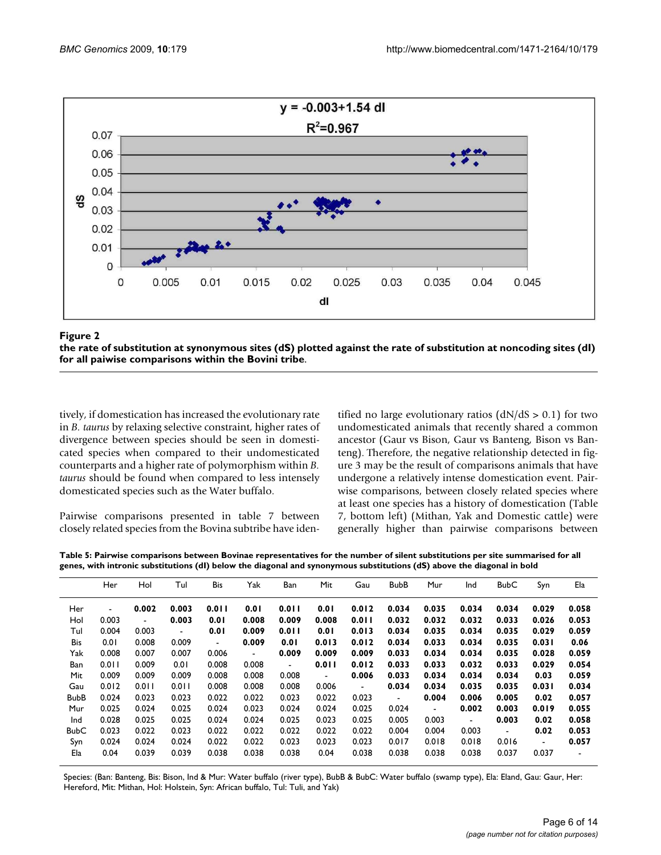

the rate of substitution at synon comparisons with the Bovini tribe  $\mathbf{P}_{\mathbf{S}}$  plotted against the rate of substitution at non-coding sites (di) for all pairs (di) for all pairs (di) for all pairs (di) for all pairs (d **the rate of substitution at synonymous sites (dS) plotted against the rate of substitution at noncoding sites (dI) for all paiwise comparisons within the Bovini tribe**.

tively, if domestication has increased the evolutionary rate in *B. taurus* by relaxing selective constraint, higher rates of divergence between species should be seen in domesticated species when compared to their undomesticated counterparts and a higher rate of polymorphism within *B. taurus* should be found when compared to less intensely domesticated species such as the Water buffalo.

Pairwise comparisons presented in table 7 between closely related species from the Bovina subtribe have identified no large evolutionary ratios  $(dN/dS > 0.1)$  for two undomesticated animals that recently shared a common ancestor (Gaur vs Bison, Gaur vs Banteng, Bison vs Banteng). Therefore, the negative relationship detected in figure 3 may be the result of comparisons animals that have undergone a relatively intense domestication event. Pairwise comparisons, between closely related species where at least one species has a history of domestication (Table 7, bottom left) (Mithan, Yak and Domestic cattle) were generally higher than pairwise comparisons between

**Table 5: Pairwise comparisons between Bovinae representatives for the number of silent substitutions per site summarised for all genes, with intronic substitutions (dI) below the diagonal and synonymous substitutions (dS) above the diagonal in bold**

|             | Her            | Hol    | Tul            | Bis    | Yak            | Ban                      | Mit            | Gau            | <b>BubB</b>    | Mur            | Ind            | <b>BubC</b> | Syn            | Ela            |
|-------------|----------------|--------|----------------|--------|----------------|--------------------------|----------------|----------------|----------------|----------------|----------------|-------------|----------------|----------------|
| Her         | $\blacksquare$ | 0.002  | 0.003          | 0.011  | 0.01           | 0.011                    | 0.01           | 0.012          | 0.034          | 0.035          | 0.034          | 0.034       | 0.029          | 0.058          |
| Hol         | 0.003          | $\sim$ | 0.003          | 0.01   | 0.008          | 0.009                    | 0.008          | 0.011          | 0.032          | 0.032          | 0.032          | 0.033       | 0.026          | 0.053          |
| Tul         | 0.004          | 0.003  | $\blacksquare$ | 0.01   | 0.009          | 0.011                    | 0.01           | 0.013          | 0.034          | 0.035          | 0.034          | 0.035       | 0.029          | 0.059          |
| Bis         | 0.01           | 0.008  | 0.009          | $\sim$ | 0.009          | 0.01                     | 0.013          | 0.012          | 0.034          | 0.033          | 0.034          | 0.035       | 0.031          | 0.06           |
| Yak         | 0.008          | 0.007  | 0.007          | 0.006  | $\blacksquare$ | 0.009                    | 0.009          | 0.009          | 0.033          | 0.034          | 0.034          | 0.035       | 0.028          | 0.059          |
| Ban         | 0.011          | 0.009  | 0.01           | 0.008  | 0.008          | $\overline{\phantom{0}}$ | 0.011          | 0.012          | 0.033          | 0.033          | 0.032          | 0.033       | 0.029          | 0.054          |
| Mit         | 0.009          | 0.009  | 0.009          | 0.008  | 0.008          | 0.008                    | $\blacksquare$ | 0.006          | 0.033          | 0.034          | 0.034          | 0.034       | 0.03           | 0.059          |
| Gau         | 0.012          | 0.011  | 0.011          | 0.008  | 0.008          | 0.008                    | 0.006          | $\blacksquare$ | 0.034          | 0.034          | 0.035          | 0.035       | 0.031          | 0.034          |
| <b>BubB</b> | 0.024          | 0.023  | 0.023          | 0.022  | 0.022          | 0.023                    | 0.022          | 0.023          | $\blacksquare$ | 0.004          | 0.006          | 0.005       | 0.02           | 0.057          |
| Mur         | 0.025          | 0.024  | 0.025          | 0.024  | 0.023          | 0.024                    | 0.024          | 0.025          | 0.024          | $\blacksquare$ | 0.002          | 0.003       | 0.019          | 0.055          |
| Ind         | 0.028          | 0.025  | 0.025          | 0.024  | 0.024          | 0.025                    | 0.023          | 0.025          | 0.005          | 0.003          | $\blacksquare$ | 0.003       | 0.02           | 0.058          |
| <b>BubC</b> | 0.023          | 0.022  | 0.023          | 0.022  | 0.022          | 0.022                    | 0.022          | 0.022          | 0.004          | 0.004          | 0.003          | $\sim$      | 0.02           | 0.053          |
| Syn         | 0.024          | 0.024  | 0.024          | 0.022  | 0.022          | 0.023                    | 0.023          | 0.023          | 0.017          | 0.018          | 0.018          | 0.016       | $\blacksquare$ | 0.057          |
| Ela         | 0.04           | 0.039  | 0.039          | 0.038  | 0.038          | 0.038                    | 0.04           | 0.038          | 0.038          | 0.038          | 0.038          | 0.037       | 0.037          | $\blacksquare$ |
|             |                |        |                |        |                |                          |                |                |                |                |                |             |                |                |

Species: (Ban: Banteng, Bis: Bison, Ind & Mur: Water buffalo (river type), BubB & BubC: Water buffalo (swamp type), Ela: Eland, Gau: Gaur, Her: Hereford, Mit: Mithan, Hol: Holstein, Syn: African buffalo, Tul: Tuli, and Yak)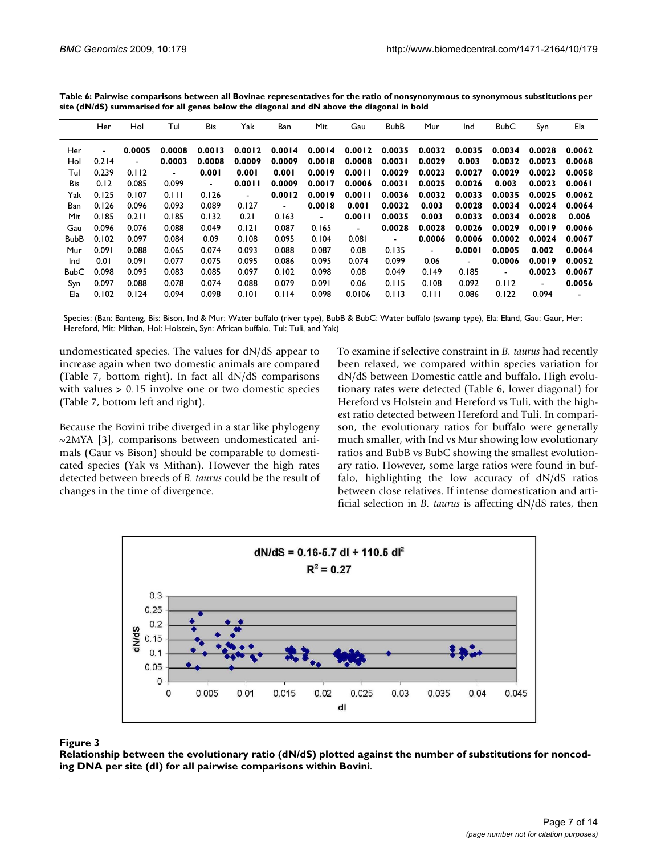|             | Her   | Hol            | Tul            | Bis    | Yak    | Ban            | Mit            | Gau            | <b>BubB</b> | Mur            | Ind                      | <b>BubC</b>    | Syn            | Ela            |
|-------------|-------|----------------|----------------|--------|--------|----------------|----------------|----------------|-------------|----------------|--------------------------|----------------|----------------|----------------|
| Her         |       | 0.0005         | 0.0008         | 0.0013 | 0.0012 | 0.0014         | 0.0014         | 0.0012         | 0.0035      | 0.0032         | 0.0035                   | 0.0034         | 0.0028         | 0.0062         |
| Hol         | 0.214 | $\blacksquare$ | 0.0003         | 0.0008 | 0.0009 | 0.0009         | 0.0018         | 0.0008         | 0.0031      | 0.0029         | 0.003                    | 0.0032         | 0.0023         | 0.0068         |
| Tul         | 0.239 | 0.112          | $\blacksquare$ | 0.001  | 0.001  | 0.001          | 0.0019         | 0.0011         | 0.0029      | 0.0023         | 0.0027                   | 0.0029         | 0.0023         | 0.0058         |
| Bis         | 0.12  | 0.085          | 0.099          | $\sim$ | 0.0011 | 0.0009         | 0.0017         | 0.0006         | 0.0031      | 0.0025         | 0.0026                   | 0.003          | 0.0023         | 0.0061         |
| Yak         | 0.125 | 0.107          | 0.111          | 0.126  | $\sim$ | 0.0012         | 0.0019         | 0.0011         | 0.0036      | 0.0032         | 0.0033                   | 0.0035         | 0.0025         | 0.0062         |
| Ban         | 0.126 | 0.096          | 0.093          | 0.089  | 0.127  | $\blacksquare$ | 0.0018         | 0.001          | 0.0032      | 0.003          | 0.0028                   | 0.0034         | 0.0024         | 0.0064         |
| Mit.        | 0.185 | 0.211          | 0.185          | 0.132  | 0.21   | 0.163          | $\blacksquare$ | 0.0011         | 0.0035      | 0.003          | 0.0033                   | 0.0034         | 0.0028         | 0.006          |
| Gau         | 0.096 | 0.076          | 0.088          | 0.049  | 0.121  | 0.087          | 0.165          | $\blacksquare$ | 0.0028      | 0.0028         | 0.0026                   | 0.0029         | 0.0019         | 0.0066         |
| <b>BubB</b> | 0.102 | 0.097          | 0.084          | 0.09   | 0.108  | 0.095          | 0.104          | 0.081          | $\sim$      | 0.0006         | 0.0006                   | 0.0002         | 0.0024         | 0.0067         |
| Mur         | 0.091 | 0.088          | 0.065          | 0.074  | 0.093  | 0.088          | 0.087          | 0.08           | 0.135       | $\blacksquare$ | 0.0001                   | 0.0005         | 0.002          | 0.0064         |
| Ind         | 0.01  | 0.091          | 0.077          | 0.075  | 0.095  | 0.086          | 0.095          | 0.074          | 0.099       | 0.06           | $\overline{\phantom{a}}$ | 0.0006         | 0.0019         | 0.0052         |
| <b>BubC</b> | 0.098 | 0.095          | 0.083          | 0.085  | 0.097  | 0.102          | 0.098          | 0.08           | 0.049       | 0.149          | 0.185                    | $\blacksquare$ | 0.0023         | 0.0067         |
| Syn         | 0.097 | 0.088          | 0.078          | 0.074  | 0.088  | 0.079          | 0.091          | 0.06           | 0.115       | 0.108          | 0.092                    | 0.112          | $\blacksquare$ | 0.0056         |
| Ela         | 0.102 | 0.124          | 0.094          | 0.098  | 0.101  | 0.114          | 0.098          | 0.0106         | 0.113       | 0.111          | 0.086                    | 0.122          | 0.094          | $\blacksquare$ |

**Table 6: Pairwise comparisons between all Bovinae representatives for the ratio of nonsynonymous to synonymous substitutions per site (dN/dS) summarised for all genes below the diagonal and dN above the diagonal in bold**

Species: (Ban: Banteng, Bis: Bison, Ind & Mur: Water buffalo (river type), BubB & BubC: Water buffalo (swamp type), Ela: Eland, Gau: Gaur, Her: Hereford, Mit: Mithan, Hol: Holstein, Syn: African buffalo, Tul: Tuli, and Yak)

undomesticated species. The values for dN/dS appear to increase again when two domestic animals are compared (Table 7, bottom right). In fact all dN/dS comparisons with values  $> 0.15$  involve one or two domestic species (Table 7, bottom left and right).

Because the Bovini tribe diverged in a star like phylogeny ~2MYA [3], comparisons between undomesticated animals (Gaur vs Bison) should be comparable to domesticated species (Yak vs Mithan). However the high rates detected between breeds of *B. taurus* could be the result of changes in the time of divergence.

To examine if selective constraint in *B. taurus* had recently been relaxed, we compared within species variation for dN/dS between Domestic cattle and buffalo. High evolutionary rates were detected (Table 6, lower diagonal) for Hereford vs Holstein and Hereford vs Tuli, with the highest ratio detected between Hereford and Tuli. In comparison, the evolutionary ratios for buffalo were generally much smaller, with Ind vs Mur showing low evolutionary ratios and BubB vs BubC showing the smallest evolutionary ratio. However, some large ratios were found in buffalo, highlighting the low accuracy of dN/dS ratios between close relatives. If intense domestication and artificial selection in *B. taurus* is affecting dN/dS rates, then



#### Relationship between the evolutionary ra (dI) for all pairwise comparisons within Bovini **Figure 3** tio (dN/dS) plotted against the number of substitutions for noncoding DNA per site

**Relationship between the evolutionary ratio (dN/dS) plotted against the number of substitutions for noncoding DNA per site (dI) for all pairwise comparisons within Bovini**.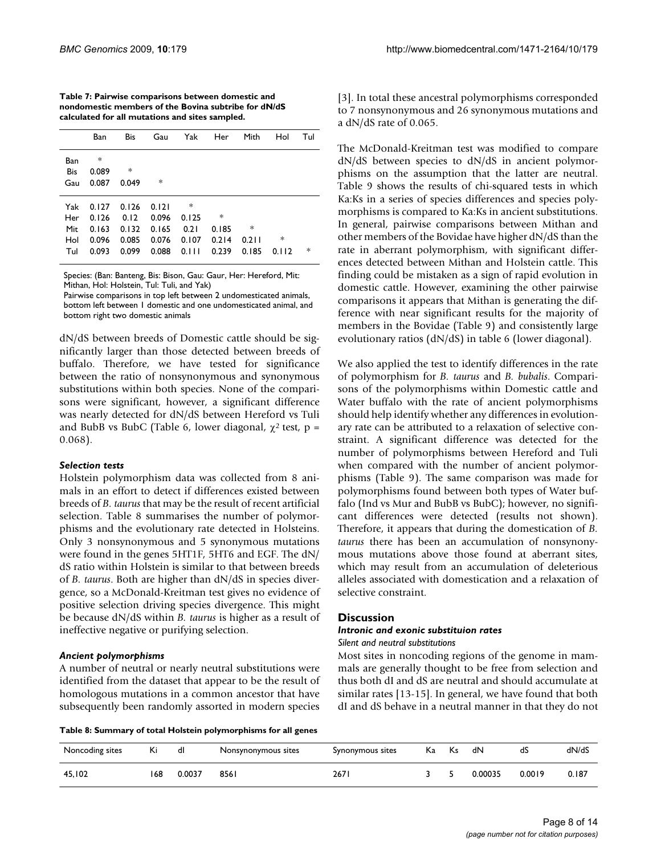**Table 7: Pairwise comparisons between domestic and nondomestic members of the Bovina subtribe for dN/dS calculated for all mutations and sites sampled.** 

|     | Ban   | Bis    | Gau   | Yak    | Her    | Mith   | Hol   | Tul    |
|-----|-------|--------|-------|--------|--------|--------|-------|--------|
| Ban | $*$   |        |       |        |        |        |       |        |
| Bis | 0.089 | $\ast$ |       |        |        |        |       |        |
| Gau | 0.087 | 0.049  | $*$   |        |        |        |       |        |
|     |       |        |       |        |        |        |       |        |
| Yak | 0.127 | 0.126  | 0.121 | $\ast$ |        |        |       |        |
| Her | 0.126 | 0.12   | 0.096 | 0.125  | $\ast$ |        |       |        |
| Mit | 0.163 | 0.132  | 0.165 | 0.21   | 0.185  | $\ast$ |       |        |
| Hol | 0.096 | 0.085  | 0.076 | 0.107  | 0.214  | 0.211  | $*$   |        |
| Tul | 0.093 | 0.099  | 0.088 | 0.111  | 0.239  | 0.185  | 0.112 | $\ast$ |
|     |       |        |       |        |        |        |       |        |

Species: (Ban: Banteng, Bis: Bison, Gau: Gaur, Her: Hereford, Mit: Mithan, Hol: Holstein, Tul: Tuli, and Yak)

Pairwise comparisons in top left between 2 undomesticated animals, bottom left between 1 domestic and one undomesticated animal, and bottom right two domestic animals

dN/dS between breeds of Domestic cattle should be significantly larger than those detected between breeds of buffalo. Therefore, we have tested for significance between the ratio of nonsynonymous and synonymous substitutions within both species. None of the comparisons were significant, however, a significant difference was nearly detected for dN/dS between Hereford vs Tuli and BubB vs BubC (Table 6, lower diagonal,  $χ²$  test, p = 0.068).

#### *Selection tests*

Holstein polymorphism data was collected from 8 animals in an effort to detect if differences existed between breeds of *B. taurus* that may be the result of recent artificial selection. Table 8 summarises the number of polymorphisms and the evolutionary rate detected in Holsteins. Only 3 nonsynonymous and 5 synonymous mutations were found in the genes 5HT1F, 5HT6 and EGF. The dN/ dS ratio within Holstein is similar to that between breeds of *B. taurus*. Both are higher than dN/dS in species divergence, so a McDonald-Kreitman test gives no evidence of positive selection driving species divergence. This might be because dN/dS within *B. taurus* is higher as a result of ineffective negative or purifying selection.

#### *Ancient polymorphisms*

A number of neutral or nearly neutral substitutions were identified from the dataset that appear to be the result of homologous mutations in a common ancestor that have subsequently been randomly assorted in modern species [3]. In total these ancestral polymorphisms corresponded to 7 nonsynonymous and 26 synonymous mutations and a dN/dS rate of 0.065.

The McDonald-Kreitman test was modified to compare dN/dS between species to dN/dS in ancient polymorphisms on the assumption that the latter are neutral. Table 9 shows the results of chi-squared tests in which Ka:Ks in a series of species differences and species polymorphisms is compared to Ka:Ks in ancient substitutions. In general, pairwise comparisons between Mithan and other members of the Bovidae have higher dN/dS than the rate in aberrant polymorphism, with significant differences detected between Mithan and Holstein cattle. This finding could be mistaken as a sign of rapid evolution in domestic cattle. However, examining the other pairwise comparisons it appears that Mithan is generating the difference with near significant results for the majority of members in the Bovidae (Table 9) and consistently large evolutionary ratios (dN/dS) in table 6 (lower diagonal).

We also applied the test to identify differences in the rate of polymorphism for *B. taurus* and *B. bubalis*. Comparisons of the polymorphisms within Domestic cattle and Water buffalo with the rate of ancient polymorphisms should help identify whether any differences in evolutionary rate can be attributed to a relaxation of selective constraint. A significant difference was detected for the number of polymorphisms between Hereford and Tuli when compared with the number of ancient polymorphisms (Table 9). The same comparison was made for polymorphisms found between both types of Water buffalo (Ind vs Mur and BubB vs BubC); however, no significant differences were detected (results not shown). Therefore, it appears that during the domestication of *B. taurus* there has been an accumulation of nonsynonymous mutations above those found at aberrant sites, which may result from an accumulation of deleterious alleles associated with domestication and a relaxation of selective constraint.

#### **Discussion**

#### *Intronic and exonic substituion rates*

#### *Silent and neutral substitutions*

Most sites in noncoding regions of the genome in mammals are generally thought to be free from selection and thus both dI and dS are neutral and should accumulate at similar rates [13-15]. In general, we have found that both dI and dS behave in a neutral manner in that they do not

**Table 8: Summary of total Holstein polymorphisms for all genes**

| Noncoding sites | Κi  | dl     | Nonsynonymous sites | Synonymous sites | Ka | <b>Ks</b> | dN      | dS     | dN/dS |
|-----------------|-----|--------|---------------------|------------------|----|-----------|---------|--------|-------|
| 45.102          | 168 | 0.0037 | 8561                | 267 I            |    |           | 0.00035 | 0.0019 | 0.187 |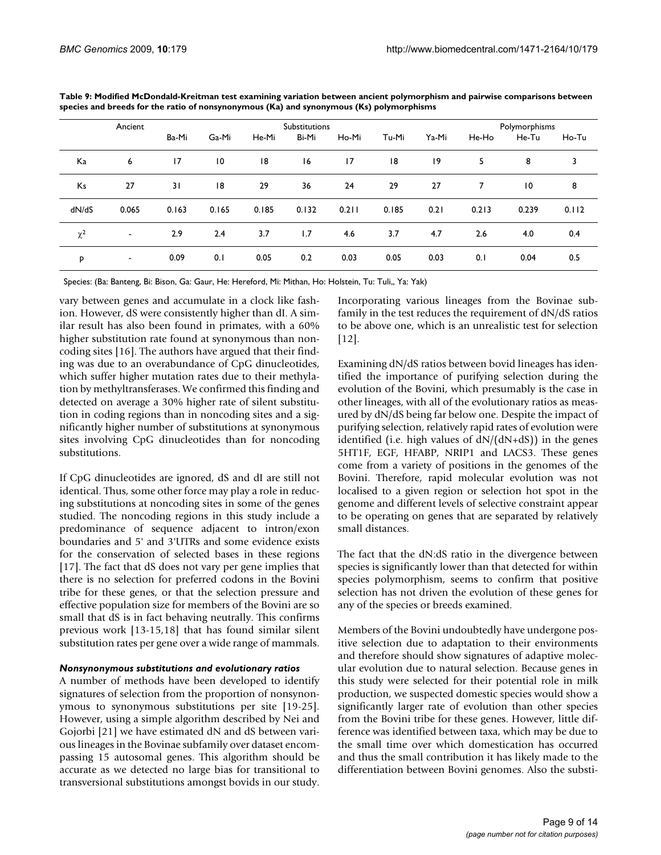|          | Substitutions<br>Ancient |       |                 |       |       |       |       | Polymorphisms |       |       |       |
|----------|--------------------------|-------|-----------------|-------|-------|-------|-------|---------------|-------|-------|-------|
|          |                          | Ba-Mi | Ga-Mi           | He-Mi | Bi-Mi | Ho-Mi | Tu-Mi | Ya-Mi         | He-Ho | He-Tu | Ho-Tu |
| Ka       | 6                        | 17    | $\overline{10}$ | 18    | 16    | 17    | 18    | 19            | 5     | 8     | 3     |
| Кs       | 27                       | 31    | 18              | 29    | 36    | 24    | 29    | 27            | 7     | 10    | 8     |
| dN/dS    | 0.065                    | 0.163 | 0.165           | 0.185 | 0.132 | 0.211 | 0.185 | 0.21          | 0.213 | 0.239 | 0.112 |
| $\chi^2$ | ٠                        | 2.9   | 2.4             | 3.7   | 1.7   | 4.6   | 3.7   | 4.7           | 2.6   | 4.0   | 0.4   |
| P        | ٠                        | 0.09  | 0.1             | 0.05  | 0.2   | 0.03  | 0.05  | 0.03          | 0.1   | 0.04  | 0.5   |

**Table 9: Modified McDondald-Kreitman test examining variation between ancient polymorphism and pairwise comparisons between species and breeds for the ratio of nonsynonymous (Ka) and synonymous (Ks) polymorphisms**

Species: (Ba: Banteng, Bi: Bison, Ga: Gaur, He: Hereford, Mi: Mithan, Ho: Holstein, Tu: Tuli,, Ya: Yak)

vary between genes and accumulate in a clock like fashion. However, dS were consistently higher than dI. A similar result has also been found in primates, with a 60% higher substitution rate found at synonymous than noncoding sites [16]. The authors have argued that their finding was due to an overabundance of CpG dinucleotides, which suffer higher mutation rates due to their methylation by methyltransferases. We confirmed this finding and detected on average a 30% higher rate of silent substitution in coding regions than in noncoding sites and a significantly higher number of substitutions at synonymous sites involving CpG dinucleotides than for noncoding substitutions.

If CpG dinucleotides are ignored, dS and dI are still not identical. Thus, some other force may play a role in reducing substitutions at noncoding sites in some of the genes studied. The noncoding regions in this study include a predominance of sequence adjacent to intron/exon boundaries and 5' and 3'UTRs and some evidence exists for the conservation of selected bases in these regions [17]. The fact that dS does not vary per gene implies that there is no selection for preferred codons in the Bovini tribe for these genes, or that the selection pressure and effective population size for members of the Bovini are so small that dS is in fact behaving neutrally. This confirms previous work [13-15,18] that has found similar silent substitution rates per gene over a wide range of mammals.

#### *Nonsynonymous substitutions and evolutionary ratios*

A number of methods have been developed to identify signatures of selection from the proportion of nonsynonymous to synonymous substitutions per site [19-25]. However, using a simple algorithm described by Nei and Gojorbi [21] we have estimated dN and dS between various lineages in the Bovinae subfamily over dataset encompassing 15 autosomal genes. This algorithm should be accurate as we detected no large bias for transitional to transversional substitutions amongst bovids in our study.

Incorporating various lineages from the Bovinae subfamily in the test reduces the requirement of dN/dS ratios to be above one, which is an unrealistic test for selection [12].

Examining dN/dS ratios between bovid lineages has identified the importance of purifying selection during the evolution of the Bovini, which presumably is the case in other lineages, with all of the evolutionary ratios as measured by dN/dS being far below one. Despite the impact of purifying selection, relatively rapid rates of evolution were identified (i.e. high values of  $dN/(dN+dS)$ ) in the genes 5HT1F, EGF, HFABP, NRIP1 and LACS3. These genes come from a variety of positions in the genomes of the Bovini. Therefore, rapid molecular evolution was not localised to a given region or selection hot spot in the genome and different levels of selective constraint appear to be operating on genes that are separated by relatively small distances.

The fact that the dN:dS ratio in the divergence between species is significantly lower than that detected for within species polymorphism, seems to confirm that positive selection has not driven the evolution of these genes for any of the species or breeds examined.

Members of the Bovini undoubtedly have undergone positive selection due to adaptation to their environments and therefore should show signatures of adaptive molecular evolution due to natural selection. Because genes in this study were selected for their potential role in milk production, we suspected domestic species would show a significantly larger rate of evolution than other species from the Bovini tribe for these genes. However, little difference was identified between taxa, which may be due to the small time over which domestication has occurred and thus the small contribution it has likely made to the differentiation between Bovini genomes. Also the substi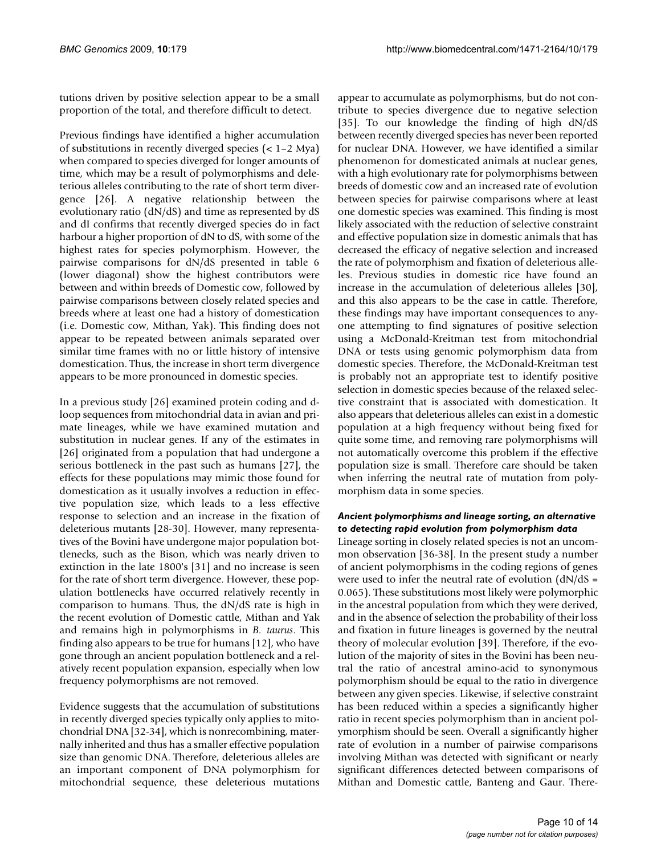tutions driven by positive selection appear to be a small proportion of the total, and therefore difficult to detect.

Previous findings have identified a higher accumulation of substitutions in recently diverged species (< 1–2 Mya) when compared to species diverged for longer amounts of time, which may be a result of polymorphisms and deleterious alleles contributing to the rate of short term divergence [26]. A negative relationship between the evolutionary ratio (dN/dS) and time as represented by dS and dI confirms that recently diverged species do in fact harbour a higher proportion of dN to dS, with some of the highest rates for species polymorphism. However, the pairwise comparisons for dN/dS presented in table 6 (lower diagonal) show the highest contributors were between and within breeds of Domestic cow, followed by pairwise comparisons between closely related species and breeds where at least one had a history of domestication (i.e. Domestic cow, Mithan, Yak). This finding does not appear to be repeated between animals separated over similar time frames with no or little history of intensive domestication. Thus, the increase in short term divergence appears to be more pronounced in domestic species.

In a previous study [26] examined protein coding and dloop sequences from mitochondrial data in avian and primate lineages, while we have examined mutation and substitution in nuclear genes. If any of the estimates in [26] originated from a population that had undergone a serious bottleneck in the past such as humans [27], the effects for these populations may mimic those found for domestication as it usually involves a reduction in effective population size, which leads to a less effective response to selection and an increase in the fixation of deleterious mutants [28-30]. However, many representatives of the Bovini have undergone major population bottlenecks, such as the Bison, which was nearly driven to extinction in the late 1800's [31] and no increase is seen for the rate of short term divergence. However, these population bottlenecks have occurred relatively recently in comparison to humans. Thus, the dN/dS rate is high in the recent evolution of Domestic cattle, Mithan and Yak and remains high in polymorphisms in *B. taurus*. This finding also appears to be true for humans [12], who have gone through an ancient population bottleneck and a relatively recent population expansion, especially when low frequency polymorphisms are not removed.

Evidence suggests that the accumulation of substitutions in recently diverged species typically only applies to mitochondrial DNA [32-34], which is nonrecombining, maternally inherited and thus has a smaller effective population size than genomic DNA. Therefore, deleterious alleles are an important component of DNA polymorphism for mitochondrial sequence, these deleterious mutations

appear to accumulate as polymorphisms, but do not contribute to species divergence due to negative selection [35]. To our knowledge the finding of high dN/dS between recently diverged species has never been reported for nuclear DNA. However, we have identified a similar phenomenon for domesticated animals at nuclear genes, with a high evolutionary rate for polymorphisms between breeds of domestic cow and an increased rate of evolution between species for pairwise comparisons where at least one domestic species was examined. This finding is most likely associated with the reduction of selective constraint and effective population size in domestic animals that has decreased the efficacy of negative selection and increased the rate of polymorphism and fixation of deleterious alleles. Previous studies in domestic rice have found an increase in the accumulation of deleterious alleles [30], and this also appears to be the case in cattle. Therefore, these findings may have important consequences to anyone attempting to find signatures of positive selection using a McDonald-Kreitman test from mitochondrial DNA or tests using genomic polymorphism data from domestic species. Therefore, the McDonald-Kreitman test is probably not an appropriate test to identify positive selection in domestic species because of the relaxed selective constraint that is associated with domestication. It also appears that deleterious alleles can exist in a domestic population at a high frequency without being fixed for quite some time, and removing rare polymorphisms will not automatically overcome this problem if the effective population size is small. Therefore care should be taken when inferring the neutral rate of mutation from polymorphism data in some species.

#### *Ancient polymorphisms and lineage sorting, an alternative to detecting rapid evolution from polymorphism data*

Lineage sorting in closely related species is not an uncommon observation [36-38]. In the present study a number of ancient polymorphisms in the coding regions of genes were used to infer the neutral rate of evolution  $(dN/dS =$ 0.065). These substitutions most likely were polymorphic in the ancestral population from which they were derived, and in the absence of selection the probability of their loss and fixation in future lineages is governed by the neutral theory of molecular evolution [39]. Therefore, if the evolution of the majority of sites in the Bovini has been neutral the ratio of ancestral amino-acid to synonymous polymorphism should be equal to the ratio in divergence between any given species. Likewise, if selective constraint has been reduced within a species a significantly higher ratio in recent species polymorphism than in ancient polymorphism should be seen. Overall a significantly higher rate of evolution in a number of pairwise comparisons involving Mithan was detected with significant or nearly significant differences detected between comparisons of Mithan and Domestic cattle, Banteng and Gaur. There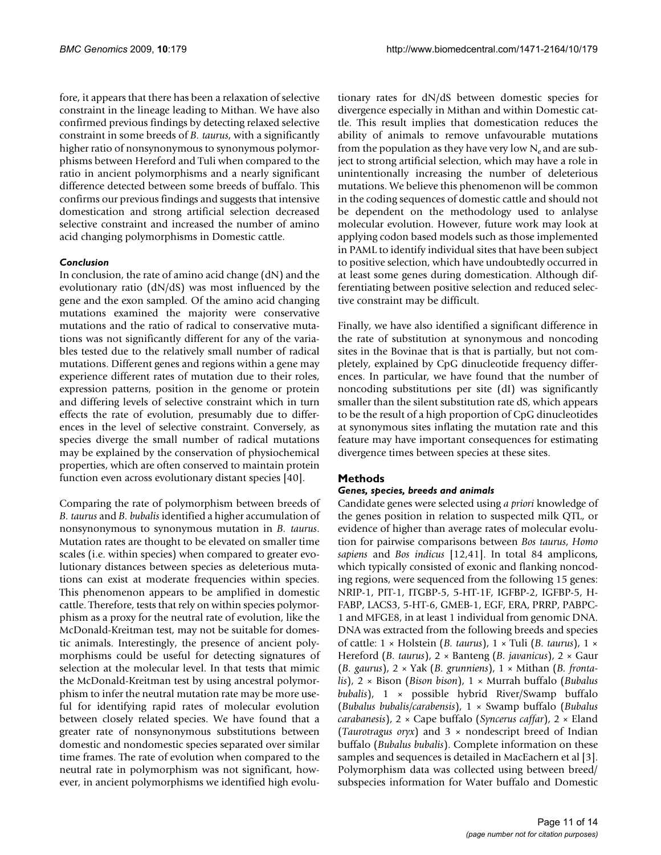fore, it appears that there has been a relaxation of selective constraint in the lineage leading to Mithan. We have also confirmed previous findings by detecting relaxed selective constraint in some breeds of *B. taurus*, with a significantly higher ratio of nonsynonymous to synonymous polymorphisms between Hereford and Tuli when compared to the ratio in ancient polymorphisms and a nearly significant difference detected between some breeds of buffalo. This confirms our previous findings and suggests that intensive domestication and strong artificial selection decreased selective constraint and increased the number of amino acid changing polymorphisms in Domestic cattle.

#### *Conclusion*

In conclusion, the rate of amino acid change (dN) and the evolutionary ratio (dN/dS) was most influenced by the gene and the exon sampled. Of the amino acid changing mutations examined the majority were conservative mutations and the ratio of radical to conservative mutations was not significantly different for any of the variables tested due to the relatively small number of radical mutations. Different genes and regions within a gene may experience different rates of mutation due to their roles, expression patterns, position in the genome or protein and differing levels of selective constraint which in turn effects the rate of evolution, presumably due to differences in the level of selective constraint. Conversely, as species diverge the small number of radical mutations may be explained by the conservation of physiochemical properties, which are often conserved to maintain protein function even across evolutionary distant species [40].

Comparing the rate of polymorphism between breeds of *B. taurus* and *B. bubalis* identified a higher accumulation of nonsynonymous to synonymous mutation in *B. taurus*. Mutation rates are thought to be elevated on smaller time scales (i.e. within species) when compared to greater evolutionary distances between species as deleterious mutations can exist at moderate frequencies within species. This phenomenon appears to be amplified in domestic cattle. Therefore, tests that rely on within species polymorphism as a proxy for the neutral rate of evolution, like the McDonald-Kreitman test, may not be suitable for domestic animals. Interestingly, the presence of ancient polymorphisms could be useful for detecting signatures of selection at the molecular level. In that tests that mimic the McDonald-Kreitman test by using ancestral polymorphism to infer the neutral mutation rate may be more useful for identifying rapid rates of molecular evolution between closely related species. We have found that a greater rate of nonsynonymous substitutions between domestic and nondomestic species separated over similar time frames. The rate of evolution when compared to the neutral rate in polymorphism was not significant, however, in ancient polymorphisms we identified high evolutionary rates for dN/dS between domestic species for divergence especially in Mithan and within Domestic cattle. This result implies that domestication reduces the ability of animals to remove unfavourable mutations from the population as they have very low  $N_e$  and are subject to strong artificial selection, which may have a role in unintentionally increasing the number of deleterious mutations. We believe this phenomenon will be common in the coding sequences of domestic cattle and should not be dependent on the methodology used to anlalyse molecular evolution. However, future work may look at applying codon based models such as those implemented in PAML to identify individual sites that have been subject to positive selection, which have undoubtedly occurred in at least some genes during domestication. Although differentiating between positive selection and reduced selective constraint may be difficult.

Finally, we have also identified a significant difference in the rate of substitution at synonymous and noncoding sites in the Bovinae that is that is partially, but not completely, explained by CpG dinucleotide frequency differences. In particular, we have found that the number of noncoding substitutions per site (dI) was significantly smaller than the silent substitution rate dS, which appears to be the result of a high proportion of CpG dinucleotides at synonymous sites inflating the mutation rate and this feature may have important consequences for estimating divergence times between species at these sites.

#### **Methods**

#### *Genes, species, breeds and animals*

Candidate genes were selected using *a priori* knowledge of the genes position in relation to suspected milk QTL, or evidence of higher than average rates of molecular evolution for pairwise comparisons between *Bos taurus*, *Homo sapiens* and *Bos indicus* [12,41]. In total 84 amplicons, which typically consisted of exonic and flanking noncoding regions, were sequenced from the following 15 genes: NRIP-1, PIT-1, ITGBP-5, 5-HT-1F, IGFBP-2, IGFBP-5, H-FABP, LACS3, 5-HT-6, GMEB-1, EGF, ERA, PRRP, PABPC-1 and MFGE8, in at least 1 individual from genomic DNA. DNA was extracted from the following breeds and species of cattle: 1 × Holstein (*B. taurus*), 1 × Tuli (*B. taurus*), 1 × Hereford (*B. taurus*), 2 × Banteng (*B. javanicus*), 2 × Gaur (*B. gaurus*), 2 × Yak (*B. grunniens*), 1 × Mithan (*B. frontalis*), 2 × Bison (*Bison bison*), 1 × Murrah buffalo (*Bubalus bubalis*), 1 × possible hybrid River/Swamp buffalo (*Bubalus bubalis/carabensis*), 1 × Swamp buffalo (*Bubalus carabanesis*), 2 × Cape buffalo (*Syncerus caffar*), 2 × Eland (*Taurotragus oryx*) and 3 × nondescript breed of Indian buffalo (*Bubalus bubalis*). Complete information on these samples and sequences is detailed in MacEachern et al [3]. Polymorphism data was collected using between breed/ subspecies information for Water buffalo and Domestic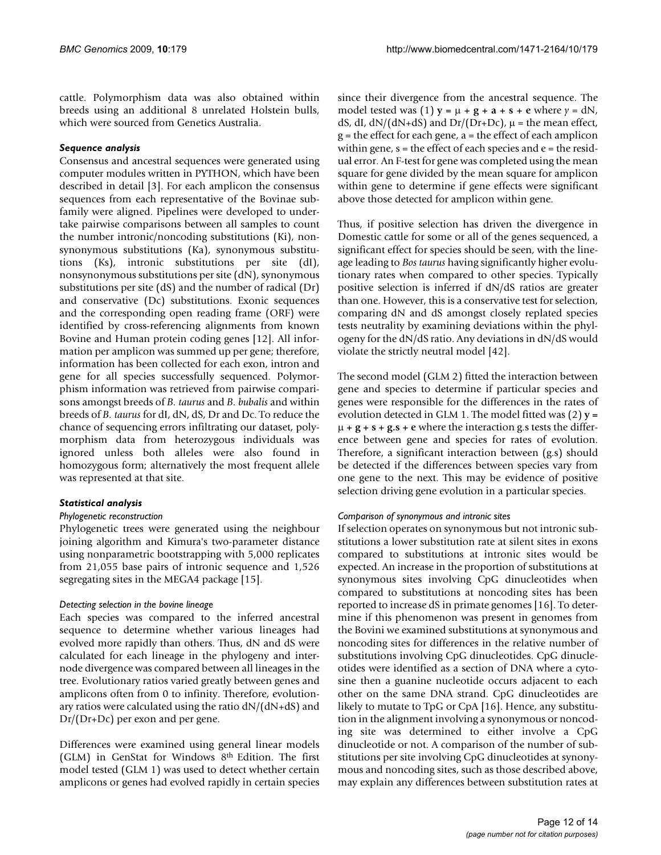cattle. Polymorphism data was also obtained within breeds using an additional 8 unrelated Holstein bulls, which were sourced from Genetics Australia.

#### *Sequence analysis*

Consensus and ancestral sequences were generated using computer modules written in PYTHON, which have been described in detail [3]. For each amplicon the consensus sequences from each representative of the Bovinae subfamily were aligned. Pipelines were developed to undertake pairwise comparisons between all samples to count the number intronic/noncoding substitutions (Ki), nonsynonymous substitutions (Ka), synonymous substitutions (Ks), intronic substitutions per site (dI), nonsynonymous substitutions per site (dN), synonymous substitutions per site (dS) and the number of radical (Dr) and conservative (Dc) substitutions. Exonic sequences and the corresponding open reading frame (ORF) were identified by cross-referencing alignments from known Bovine and Human protein coding genes [12]. All information per amplicon was summed up per gene; therefore, information has been collected for each exon, intron and gene for all species successfully sequenced. Polymorphism information was retrieved from pairwise comparisons amongst breeds of *B. taurus* and *B. bubalis* and within breeds of *B. taurus* for dI, dN, dS, Dr and Dc. To reduce the chance of sequencing errors infiltrating our dataset, polymorphism data from heterozygous individuals was ignored unless both alleles were also found in homozygous form; alternatively the most frequent allele was represented at that site.

#### *Statistical analysis*

#### *Phylogenetic reconstruction*

Phylogenetic trees were generated using the neighbour joining algorithm and Kimura's two-parameter distance using nonparametric bootstrapping with 5,000 replicates from 21,055 base pairs of intronic sequence and 1,526 segregating sites in the MEGA4 package [15].

#### *Detecting selection in the bovine lineage*

Each species was compared to the inferred ancestral sequence to determine whether various lineages had evolved more rapidly than others. Thus, dN and dS were calculated for each lineage in the phylogeny and internode divergence was compared between all lineages in the tree. Evolutionary ratios varied greatly between genes and amplicons often from 0 to infinity. Therefore, evolutionary ratios were calculated using the ratio dN/(dN+dS) and Dr/(Dr+Dc) per exon and per gene.

Differences were examined using general linear models (GLM) in GenStat for Windows 8th Edition. The first model tested (GLM 1) was used to detect whether certain amplicons or genes had evolved rapidly in certain species since their divergence from the ancestral sequence. The model tested was (1)  $y = \mu + g + a + s + e$  where  $y = dN$ , dS, dI,  $dN/(dN+dS)$  and  $Dr/(Dr+Dc)$ ,  $\mu$  = the mean effect,  $g =$  the effect for each gene,  $a =$  the effect of each amplicon within gene,  $s =$  the effect of each species and  $e =$  the residual error. An F-test for gene was completed using the mean square for gene divided by the mean square for amplicon within gene to determine if gene effects were significant above those detected for amplicon within gene.

Thus, if positive selection has driven the divergence in Domestic cattle for some or all of the genes sequenced, a significant effect for species should be seen, with the lineage leading to *Bos taurus* having significantly higher evolutionary rates when compared to other species. Typically positive selection is inferred if dN/dS ratios are greater than one. However, this is a conservative test for selection, comparing dN and dS amongst closely replated species tests neutrality by examining deviations within the phylogeny for the dN/dS ratio. Any deviations in dN/dS would violate the strictly neutral model [42].

The second model (GLM 2) fitted the interaction between gene and species to determine if particular species and genes were responsible for the differences in the rates of evolution detected in GLM 1. The model fitted was (2) **y =** μ **+ g + s + g.s + e** where the interaction g.s tests the difference between gene and species for rates of evolution. Therefore, a significant interaction between (g.s) should be detected if the differences between species vary from one gene to the next. This may be evidence of positive selection driving gene evolution in a particular species.

#### *Comparison of synonymous and intronic sites*

If selection operates on synonymous but not intronic substitutions a lower substitution rate at silent sites in exons compared to substitutions at intronic sites would be expected. An increase in the proportion of substitutions at synonymous sites involving CpG dinucleotides when compared to substitutions at noncoding sites has been reported to increase dS in primate genomes [16]. To determine if this phenomenon was present in genomes from the Bovini we examined substitutions at synonymous and noncoding sites for differences in the relative number of substitutions involving CpG dinucleotides. CpG dinucleotides were identified as a section of DNA where a cytosine then a guanine nucleotide occurs adjacent to each other on the same DNA strand. CpG dinucleotides are likely to mutate to TpG or CpA [16]. Hence, any substitution in the alignment involving a synonymous or noncoding site was determined to either involve a CpG dinucleotide or not. A comparison of the number of substitutions per site involving CpG dinucleotides at synonymous and noncoding sites, such as those described above, may explain any differences between substitution rates at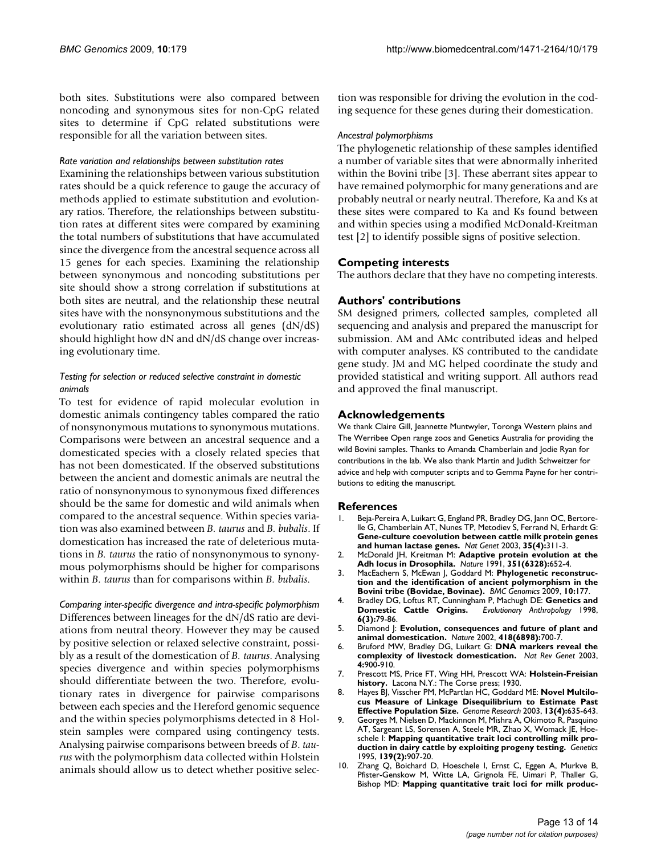both sites. Substitutions were also compared between noncoding and synonymous sites for non-CpG related sites to determine if CpG related substitutions were responsible for all the variation between sites.

#### *Rate variation and relationships between substitution rates*

Examining the relationships between various substitution rates should be a quick reference to gauge the accuracy of methods applied to estimate substitution and evolutionary ratios. Therefore, the relationships between substitution rates at different sites were compared by examining the total numbers of substitutions that have accumulated since the divergence from the ancestral sequence across all 15 genes for each species. Examining the relationship between synonymous and noncoding substitutions per site should show a strong correlation if substitutions at both sites are neutral, and the relationship these neutral sites have with the nonsynonymous substitutions and the evolutionary ratio estimated across all genes (dN/dS) should highlight how dN and dN/dS change over increasing evolutionary time.

#### *Testing for selection or reduced selective constraint in domestic animals*

To test for evidence of rapid molecular evolution in domestic animals contingency tables compared the ratio of nonsynonymous mutations to synonymous mutations. Comparisons were between an ancestral sequence and a domesticated species with a closely related species that has not been domesticated. If the observed substitutions between the ancient and domestic animals are neutral the ratio of nonsynonymous to synonymous fixed differences should be the same for domestic and wild animals when compared to the ancestral sequence. Within species variation was also examined between *B. taurus* and *B. bubalis*. If domestication has increased the rate of deleterious mutations in *B. taurus* the ratio of nonsynonymous to synonymous polymorphisms should be higher for comparisons within *B. taurus* than for comparisons within *B. bubalis*.

*Comparing inter-specific divergence and intra-specific polymorphism* Differences between lineages for the dN/dS ratio are deviations from neutral theory. However they may be caused by positive selection or relaxed selective constraint, possibly as a result of the domestication of *B. taurus*. Analysing species divergence and within species polymorphisms should differentiate between the two. Therefore, evolutionary rates in divergence for pairwise comparisons between each species and the Hereford genomic sequence and the within species polymorphisms detected in 8 Holstein samples were compared using contingency tests. Analysing pairwise comparisons between breeds of *B*. *taurus* with the polymorphism data collected within Holstein animals should allow us to detect whether positive selection was responsible for driving the evolution in the coding sequence for these genes during their domestication.

#### *Ancestral polymorphisms*

The phylogenetic relationship of these samples identified a number of variable sites that were abnormally inherited within the Bovini tribe [3]. These aberrant sites appear to have remained polymorphic for many generations and are probably neutral or nearly neutral. Therefore, Ka and Ks at these sites were compared to Ka and Ks found between and within species using a modified McDonald-Kreitman test [2] to identify possible signs of positive selection.

#### **Competing interests**

The authors declare that they have no competing interests.

#### **Authors' contributions**

SM designed primers, collected samples, completed all sequencing and analysis and prepared the manuscript for submission. AM and AMc contributed ideas and helped with computer analyses. KS contributed to the candidate gene study. JM and MG helped coordinate the study and provided statistical and writing support. All authors read and approved the final manuscript.

#### **Acknowledgements**

We thank Claire Gill, Jeannette Muntwyler, Toronga Western plains and The Werribee Open range zoos and Genetics Australia for providing the wild Bovini samples. Thanks to Amanda Chamberlain and Jodie Ryan for contributions in the lab. We also thank Martin and Judith Schweitzer for advice and help with computer scripts and to Gemma Payne for her contributions to editing the manuscript.

#### **References**

- Beja-Pereira A, Luikart G, England PR, Bradley DG, Jann OC, Bertorelle G, Chamberlain AT, Nunes TP, Metodiev S, Ferrand N, Erhardt G: **[Gene-culture coevolution between cattle milk protein genes](http://www.ncbi.nlm.nih.gov/entrez/query.fcgi?cmd=Retrieve&db=PubMed&dopt=Abstract&list_uids=14634648) [and human lactase genes.](http://www.ncbi.nlm.nih.gov/entrez/query.fcgi?cmd=Retrieve&db=PubMed&dopt=Abstract&list_uids=14634648)** *Nat Genet* 2003, **35(4):**311-3.
- 2. McDonald JH, Kreitman M: **[Adaptive protein evolution at the](http://www.ncbi.nlm.nih.gov/entrez/query.fcgi?cmd=Retrieve&db=PubMed&dopt=Abstract&list_uids=1904993) [Adh locus in Drosophila.](http://www.ncbi.nlm.nih.gov/entrez/query.fcgi?cmd=Retrieve&db=PubMed&dopt=Abstract&list_uids=1904993)** *Nature* 1991, **351(6328):**652-4.
- 3. MacEachern S, McEwan J, Goddard M: **[Phylogenetic reconstruc](http://www.ncbi.nlm.nih.gov/entrez/query.fcgi?cmd=Retrieve&db=PubMed&dopt=Abstract&list_uids=19393045)[tion and the identification of ancient polymorphism in the](http://www.ncbi.nlm.nih.gov/entrez/query.fcgi?cmd=Retrieve&db=PubMed&dopt=Abstract&list_uids=19393045) [Bovini tribe \(Bovidae, Bovinae\).](http://www.ncbi.nlm.nih.gov/entrez/query.fcgi?cmd=Retrieve&db=PubMed&dopt=Abstract&list_uids=19393045)** *BMC Genomics* 2009, **10:**177.
- Bradley DG, Loftus RT, Cunningham P, Machugh DE: **Genetics and**<br>**Domestic Cattle Origins.** Evolutionary Anthropology 1998, **Domestic Cattle Origins. 6(3):**79-86.
- 5. Diamond J: **[Evolution, consequences and future of plant and](http://www.ncbi.nlm.nih.gov/entrez/query.fcgi?cmd=Retrieve&db=PubMed&dopt=Abstract&list_uids=12167878) [animal domestication.](http://www.ncbi.nlm.nih.gov/entrez/query.fcgi?cmd=Retrieve&db=PubMed&dopt=Abstract&list_uids=12167878)** *Nature* 2002, **418(6898):**700-7.
- 6. Bruford MW, Bradley DG, Luikart G: **[DNA markers reveal the](http://www.ncbi.nlm.nih.gov/entrez/query.fcgi?cmd=Retrieve&db=PubMed&dopt=Abstract&list_uids=14634637) [complexity of livestock domestication.](http://www.ncbi.nlm.nih.gov/entrez/query.fcgi?cmd=Retrieve&db=PubMed&dopt=Abstract&list_uids=14634637)** *Nat Rev Genet* 2003, **4:**900-910.
- 7. Prescott MS, Price FT, Wing HH, Prescott WA: **Holstein-Freisian history.** Lacona N.Y.: The Corse press; 1930.
- 8. Hayes BJ, Visscher PM, McPartlan HC, Goddard ME: **[Novel Multilo](http://www.ncbi.nlm.nih.gov/entrez/query.fcgi?cmd=Retrieve&db=PubMed&dopt=Abstract&list_uids=12654718)[cus Measure of Linkage Disequilibrium to Estimate Past](http://www.ncbi.nlm.nih.gov/entrez/query.fcgi?cmd=Retrieve&db=PubMed&dopt=Abstract&list_uids=12654718) [Effective Population Size.](http://www.ncbi.nlm.nih.gov/entrez/query.fcgi?cmd=Retrieve&db=PubMed&dopt=Abstract&list_uids=12654718)** *Genome Research* 2003, **13(4):**635-643.
- 9. Georges M, Nielsen D, Mackinnon M, Mishra A, Okimoto R, Pasquino AT, Sargeant LS, Sorensen A, Steele MR, Zhao X, Womack JE, Hoeschele I: **[Mapping quantitative trait loci controlling milk pro](http://www.ncbi.nlm.nih.gov/entrez/query.fcgi?cmd=Retrieve&db=PubMed&dopt=Abstract&list_uids=7713441)[duction in dairy cattle by exploiting progeny testing.](http://www.ncbi.nlm.nih.gov/entrez/query.fcgi?cmd=Retrieve&db=PubMed&dopt=Abstract&list_uids=7713441)** *Genetics* 1995, **139(2):**907-20.
- 10. Zhang Q, Boichard D, Hoeschele I, Ernst C, Eggen A, Murkve B, Pfister-Genskow M, Witte LA, Grignola FE, Uimari P, Thaller G, Bishop MD: **[Mapping quantitative trait loci for milk produc](http://www.ncbi.nlm.nih.gov/entrez/query.fcgi?cmd=Retrieve&db=PubMed&dopt=Abstract&list_uids=9691050)-**